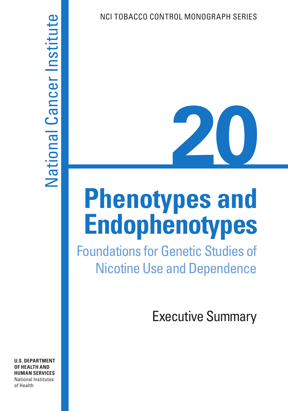# **20**

# **Phenotypes and Endophenotypes**

Foundations for Genetic Studies of Nicotine Use and Dependence

Executive Summary

# National Cancer Institute National Cancer Institute

**U.S. DEPARTMENT OF HEALTH AND HUMAN SERVICES**  National Institutes of Health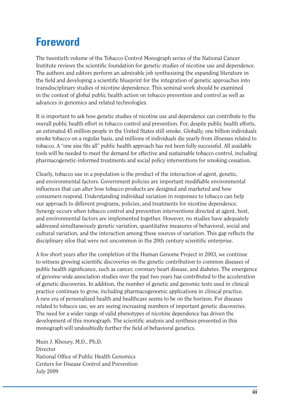# **Foreword**

The twentieth volume of the Tobacco Control Monograph series of the National Cancer Institute reviews the scientific foundation for genetic studies of nicotine use and dependence. The authors and editors perform an admirable job synthesizing the expanding literature in the field and developing a scientific blueprint for the integration of genetic approaches into transdisciplinary studies of nicotine dependence. This seminal work should be examined in the context of global public health action on tobacco prevention and control as well as advances in genomics and related technologies.

It is important to ask how genetic studies of nicotine use and dependence can contribute to the overall public health effort in tobacco control and prevention. For, despite public health efforts, an estimated 45 million people in the United States still smoke. Globally, one billion individuals smoke tobacco on a regular basis, and millions of individuals die yearly from illnesses related to tobacco. A "one size fits all" public health approach has not been fully successful. All available tools will be needed to meet the demand for effective and sustainable tobacco control, including pharmacogenetic-informed treatments and social policy interventions for smoking cessation.

Clearly, tobacco use in a population is the product of the interaction of agent, genetic, and environmental factors. Government policies are important modifiable environmental influences that can alter how tobacco products are designed and marketed and how consumers respond. Understanding individual variation in responses to tobacco can help our approach to different programs, policies, and treatments for nicotine dependence. Synergy occurs when tobacco control and prevention interventions directed at agent, host, and environmental factors are implemented together. However, no studies have adequately addressed simultaneously genetic variation, quantitative measures of behavioral, social and cultural variation, and the interaction among these sources of variation. This gap reflects the disciplinary silos that were not uncommon in the 20th century scientific enterprise.

A few short years after the completion of the Human Genome Project in 2003, we continue to witness growing scientific discoveries on the genetic contribution to common diseases of public health significance, such as cancer, coronary heart disease, and diabetes. The emergence of genome-wide association studies over the past two years has contributed to the acceleration of genetic discoveries. In addition, the number of genetic and genomic tests used in clinical practice continues to grow, including pharmacogenomic applications in clinical practice. A new era of personalized health and healthcare seems to be on the horizon. For diseases related to tobacco use, we are seeing increasing numbers of important genetic discoveries. The need for a wider range of valid phenotypes of nicotine dependence has driven the development of this monograph. The scientific analysis and synthesis presented in this monograph will undoubtedly further the field of behavioral genetics.

Muin J. Khoury, M.D., Ph.D. **Director** National Office of Public Health Genomics Centers for Disease Control and Prevention July 2009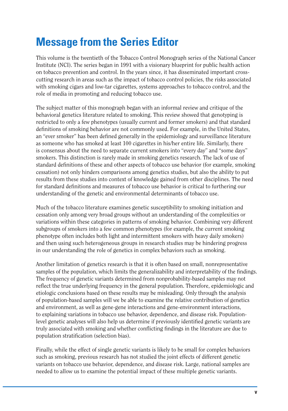# **Message from the Series Editor**

This volume is the twentieth of the Tobacco Control Monograph series of the National Cancer Institute (NCI). The series began in 1991 with a visionary blueprint for public health action on tobacco prevention and control. In the years since, it has disseminated important crosscutting research in areas such as the impact of tobacco control policies, the risks associated with smoking cigars and low-tar cigarettes, systems approaches to tobacco control, and the role of media in promoting and reducing tobacco use.

The subject matter of this monograph began with an informal review and critique of the behavioral genetics literature related to smoking. This review showed that genotyping is restricted to only a few phenotypes (usually current and former smokers) and that standard definitions of smoking behavior are not commonly used. For example, in the United States, an "ever smoker" has been defined generally in the epidemiology and surveillance literature as someone who has smoked at least 100 cigarettes in his/her entire life. Similarly, there is consensus about the need to separate current smokers into "every day" and "some days" smokers. This distinction is rarely made in smoking genetics research. The lack of use of standard definitions of these and other aspects of tobacco use behavior (for example, smoking cessation) not only hinders comparisons among genetics studies, but also the ability to put results from these studies into context of knowledge gained from other disciplines. The need for standard definitions and measures of tobacco use behavior is critical to furthering our understanding of the genetic and environmental determinants of tobacco use.

Much of the tobacco literature examines genetic susceptibility to smoking initiation and cessation only among very broad groups without an understanding of the complexities or variations within these categories in patterns of smoking behavior. Combining very different subgroups of smokers into a few common phenotypes (for example, the current smoking phenotype often includes both light and intermittent smokers with heavy daily smokers) and then using such heterogeneous groups in research studies may be hindering progress in our understanding the role of genetics in complex behaviors such as smoking.

Another limitation of genetics research is that it is often based on small, nonrepresentative samples of the population, which limits the generalizability and interpretability of the findings. The frequency of genetic variants determined from nonprobability-based samples may not reflect the true underlying frequency in the general population. Therefore, epidemiologic and etiologic conclusions based on these results may be misleading. Only through the analysis of population-based samples will we be able to examine the relative contribution of genetics and environment, as well as gene-gene interactions and gene-environment interactions, to explaining variations in tobacco use behavior, dependence, and disease risk. Populationlevel genetic analyses will also help us determine if previously identified genetic variants are truly associated with smoking and whether conflicting findings in the literature are due to population stratification (selection bias).

Finally, while the effect of single genetic variants is likely to be small for complex behaviors such as smoking, previous research has not studied the joint effects of different genetic variants on tobacco use behavior, dependence, and disease risk. Large, national samples are needed to allow us to examine the potential impact of these multiple genetic variants.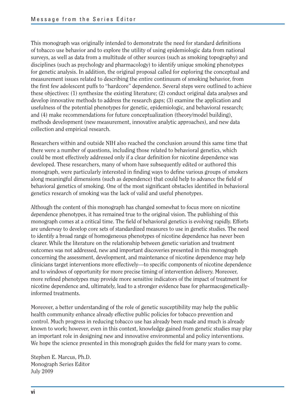This monograph was originally intended to demonstrate the need for standard definitions of tobacco use behavior and to explore the utility of using epidemiologic data from national surveys, as well as data from a multitude of other sources (such as smoking topography) and disciplines (such as psychology and pharmacology) to identify unique smoking phenotypes for genetic analysis. In addition, the original proposal called for exploring the conceptual and measurement issues related to describing the entire continuum of smoking behavior, from the first few adolescent puffs to "hardcore" dependence. Several steps were outlined to achieve these objectives: (1) synthesize the existing literature; (2) conduct original data analyses and develop innovative methods to address the research gaps; (3) examine the application and usefulness of the potential phenotypes for genetic, epidemiologic, and behavioral research; and (4) make recommendations for future conceptualization (theory/model building), methods development (new measurement, innovative analytic approaches), and new data collection and empirical research.

Researchers within and outside NIH also reached the conclusion around this same time that there were a number of questions, including those related to behavioral genetics, which could be most effectively addressed only if a clear definition for nicotine dependence was developed. These researchers, many of whom have subsequently edited or authored this monograph, were particularly interested in finding ways to define various groups of smokers along meaningful dimensions (such as dependence) that could help to advance the field of behavioral genetics of smoking. One of the most significant obstacles identified in behavioral genetics research of smoking was the lack of valid and useful phenotypes.

Although the content of this monograph has changed somewhat to focus more on nicotine dependence phenotypes, it has remained true to the original vision. The publishing of this monograph comes at a critical time. The field of behavioral genetics is evolving rapidly. Efforts are underway to develop core sets of standardized measures to use in genetic studies. The need to identify a broad range of homogeneous phenotypes of nicotine dependence has never been clearer. While the literature on the relationship between genetic variation and treatment outcomes was not addressed, new and important discoveries presented in this monograph concerning the assessment, development, and maintenance of nicotine dependence may help clinicians target interventions more effectively—to specific components of nicotine dependence and to windows of opportunity for more precise timing of intervention delivery. Moreover, more refined phenotypes may provide more sensitive indicators of the impact of treatment for nicotine dependence and, ultimately, lead to a stronger evidence base for pharmacogeneticallyinformed treatments.

Moreover, a better understanding of the role of genetic susceptibility may help the public health community enhance already effective public policies for tobacco prevention and control. Much progress in reducing tobacco use has already been made and much is already known to work; however, even in this context, knowledge gained from genetic studies may play an important role in designing new and innovative environmental and policy interventions. We hope the science presented in this monograph guides the field for many years to come.

Stephen E. Marcus, Ph.D. Monograph Series Editor July 2009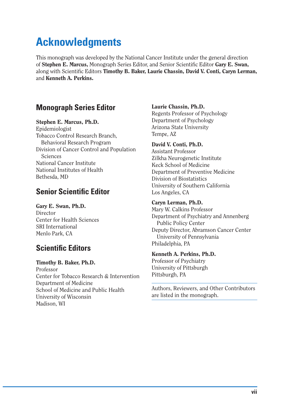# **Acknowledgments**

This monograph was developed by the National Cancer Institute under the general direction of **Stephen E. Marcus,** Monograph Series Editor, and Senior Scientific Editor Gary E. Swan, along with Scientific Editors **Timothy B. Baker, Laurie Chassin, David V. Conti, Caryn Lerman,** and **Kenneth A. Perkins.** 

### **Monograph Series Editor**

### **Stephen E. Marcus, Ph.D.**

Epidemiologist Tobacco Control Research Branch, Behavioral Research Program Division of Cancer Control and Population **Sciences** National Cancer Institute National Institutes of Health Bethesda, MD

### **Senior Scientific Editor**

**Gary E. Swan, Ph.D. Director** Center for Health Sciences SRI International Menlo Park, CA

### **Scientific Editors**

**Timothy B. Baker, Ph.D.**  Professor Center for Tobacco Research & Intervention Department of Medicine School of Medicine and Public Health University of Wisconsin Madison, WI

### **Laurie Chassin, Ph.D.**

Regents Professor of Psychology Department of Psychology Arizona State University Tempe, AZ

### **David V. Conti, Ph.D.**

Assistant Professor Zilkha Neurogenetic Institute Keck School of Medicine Department of Preventive Medicine Division of Biostatistics University of Southern California Los Angeles, CA

### **Caryn Lerman, Ph.D.**

Mary W. Calkins Professor Department of Psychiatry and Annenberg Public Policy Center Deputy Director, Abramson Cancer Center University of Pennsylvania Philadelphia, PA

### **Kenneth A. Perkins, Ph.D.**

Professor of Psychiatry University of Pittsburgh Pittsburgh, PA

Authors, Reviewers, and Other Contributors are listed in the monograph.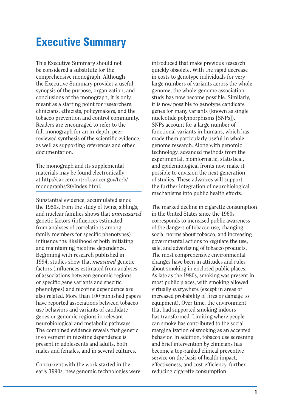# **Executive Summary**

This Executive Summary should not be considered a substitute for the comprehensive monograph. Although the Executive Summary provides a useful synopsis of the purpose, organization, and conclusions of the monograph, it is only meant as a starting point for researchers, clinicians, ethicists, policymakers, and the tobacco prevention and control community. Readers are encouraged to refer to the full monograph for an in-depth, peerreviewed synthesis of the scientific evidence, as well as supporting references and other documentation.

The monograph and its supplemental materials may be found electronically at http://cancercontrol.cancer.gov/tcrb/ monographs/20/index.html.

Substantial evidence, accumulated since the 1950s, from the study of twins, siblings, and nuclear families shows that *unmeasured*  genetic factors (influences estimated from analyses of correlations among family members for specific phenotypes) influence the likelihood of both initiating and maintaining nicotine dependence. Beginning with research published in 1994, studies show that *measured* genetic factors (influences estimated from analyses of associations between genomic regions or specific gene variants and specific phenotypes) and nicotine dependence are also related. More than 100 published papers have reported associations between tobacco use behaviors and variants of candidate genes or genomic regions in relevant neurobiological and metabolic pathways. The combined evidence reveals that genetic involvement in nicotine dependence is present in adolescents and adults, both males and females, and in several cultures.

Concurrent with the work started in the early 1990s, new genomic technologies were introduced that make previous research quickly obsolete. With the rapid decrease in costs to genotype individuals for very large numbers of variants across the whole genome, the whole-genome association study has now become possible. Similarly, it is now possible to genotype candidate genes for many variants (known as single nucleotide polymorphisms [SNPs]). SNPs account for a large number of functional variants in humans, which has made them particularly useful in wholegenome research. Along with genomic technology, advanced methods from the experimental, bioinformatic, statistical, and epidemiological fronts now make it possible to envision the next generation of studies. These advances will support the further integration of neurobiological mechanisms into public health efforts.

The marked decline in cigarette consumption in the United States since the 1960s corresponds to increased public awareness of the dangers of tobacco use, changing social norms about tobacco, and increasing governmental actions to regulate the use, sale, and advertising of tobacco products. The most comprehensive environmental changes have been in attitudes and rules about smoking in enclosed public places. As late as the 1980s, smoking was present in most public places, with smoking allowed virtually everywhere (except in areas of increased probability of fires or damage to equipment). Over time, the environment that had supported smoking indoors has transformed. Limiting where people can smoke has contributed to the social marginalization of smoking as an accepted behavior. In addition, tobacco use screening and brief intervention by clinicians has become a top-ranked clinical preventive service on the basis of health impact, effectiveness, and cost-efficiency, further reducing cigarette consumption.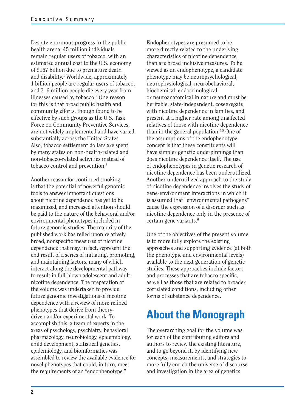Despite enormous progress in the public health arena, 45 million individuals remain regular users of tobacco, with an estimated annual cost to the U.S. economy of \$167 billion due to premature death and disability.<sup>1</sup> Worldwide, approximately 1 billion people are regular users of tobacco, and 3–6 million people die every year from illnesses caused by tobacco.<sup>2</sup> One reason for this is that broad public health and community efforts, though found to be effective by such groups as the U.S. Task Force on Community Preventive Services, are not widely implemented and have varied substantially across the United States. Also, tobacco settlement dollars are spent by many states on non-health-related and non-tobacco-related activities instead of tobacco control and prevention.3

Another reason for continued smoking is that the potential of powerful genomic tools to answer important questions about nicotine dependence has yet to be maximized, and increased attention should be paid to the nature of the behavioral and/or environmental phenotypes included in future genomic studies. The majority of the published work has relied upon relatively broad, nonspecific measures of nicotine dependence that may, in fact, represent the end result of a series of initiating, promoting, and maintaining factors, many of which interact along the developmental pathway to result in full-blown adolescent and adult nicotine dependence. The preparation of the volume was undertaken to provide future genomic investigations of nicotine dependence with a review of more refined phenotypes that derive from theorydriven and/or experimental work. To accomplish this, a team of experts in the areas of psychology, psychiatry, behavioral pharmacology, neurobiology, epidemiology, child development, statistical genetics, epidemiology, and bioinformatics was assembled to review the available evidence for novel phenotypes that could, in turn, meet the requirements of an "endophenotype."

Endophenotypes are presumed to be more directly related to the underlying characteristics of nicotine dependence than are broad inclusive measures. To be viewed as an endophenotype, a candidate phenotype may be neuropsychological, neurophysiological, neurobehavioral, biochemical, endocrinological, or neuroanatomical in nature and must be heritable, state-independent, cosegregate with nicotine dependence in families, and present at a higher rate among unaffected relatives of those with nicotine dependence than in the general population.4,5 One of the assumptions of the endophenotype concept is that these constituents will have simpler genetic underpinnings than does nicotine dependence itself. The use of endophenotypes in genetic research of nicotine dependence has been underutilized. Another underutilized approach to the study of nicotine dependence involves the study of gene-environment interactions in which it is assumed that "environmental pathogens" cause the expression of a disorder such as nicotine dependence only in the presence of certain gene variants.6

One of the objectives of the present volume is to more fully explore the existing approaches and supporting evidence (at both the phenotypic and environmental levels) available to the next generation of genetic studies. These approaches include factors and processes that are tobacco specific. as well as those that are related to broader correlated conditions, including other forms of substance dependence.

## **About the Monograph**

The overarching goal for the volume was for each of the contributing editors and authors to review the existing literature, and to go beyond it, by identifying new concepts, measurements, and strategies to more fully enrich the universe of discourse and investigation in the area of genetics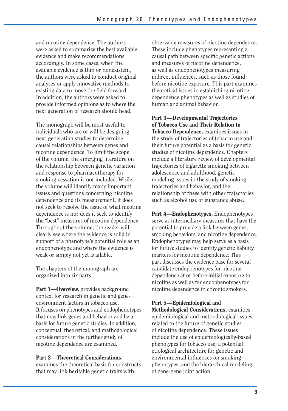and nicotine dependence. The authors were asked to summarize the best available evidence and make recommendations accordingly. In some cases, when the available evidence is thin or nonexistent, the authors were asked to conduct original analyses or apply innovative methods to existing data to move the field forward. In addition, the authors were asked to provide informed opinions as to where the next generation of research should head.

The monograph will be most useful to individuals who are or will be designing next-generation studies to determine causal relationships between genes and nicotine dependence. To limit the scope of the volume, the emerging literature on the relationship between genetic variation and response to pharmacotherapy for smoking cessation is not included. While the volume will identify many important issues and questions concerning nicotine dependence and its measurement, it does not seek to resolve the issue of what nicotine dependence is nor does it seek to identify the "best" measures of nicotine dependence. Throughout the volume, the reader will clearly see where the evidence is solid in support of a phenotype's potential role as an endophenotype and where the evidence is weak or simply not yet available.

The chapters of the monograph are organized into six parts.

Part 1-Overview, provides background context for research in genetic and geneenvironment factors in tobacco use. It focuses on phenotypes and endophenotypes that may link genes and behavior and be a basis for future genetic studies. In addition, conceptual, theoretical, and methodological considerations in the further study of nicotine dependence are examined.

### **Part 2—Theoretical Considerations,**

examines the theoretical basis for constructs that may link heritable genetic traits with

observable measures of nicotine dependence. These include phenotypes representing a causal path between specific genetic actions and measures of nicotine dependence, as well as endophenotypes measuring indirect influences, such as those found before nicotine exposure. This part examines theoretical issues in establishing nicotinedependence phenotypes as well as studies of human and animal behavior.

**Part 3—Developmental Trajectories of Tobacco Use and Their Relation to Tobacco Dependence,** examines issues in the study of trajectories of tobacco use and their future potential as a basis for genetic studies of nicotine dependence. Chapters include a literature review of developmental trajectories of cigarette smoking between adolescence and adulthood, genetic modeling issues in the study of smoking trajectories and behavior, and the relationship of these with other trajectories such as alcohol use or substance abuse.

**Part 4—Endophenotypes.** Endophenotypes serve as intermediary measures that have the potential to provide a link between genes, smoking behaviors, and nicotine dependence. Endophenotypes may help serve as a basis for future studies to identify genetic liability markers for nicotine dependence. This part discusses the evidence base for several candidate endophenotypes for nicotine dependence at or before initial exposure to nicotine as well as for endophenotypes for nicotine dependence in chronic smokers.

### **Part 5—Epidemiological and**

**Methodological Considerations,** examines epidemiological and methodological issues related to the future of genetic studies of nicotine dependence. These issues include the use of epidemiologically-based phenotypes for tobacco use; a potential etiological architecture for genetic and environmental influences on smoking phenotypes; and the hierarchical modeling of gene-gene joint action.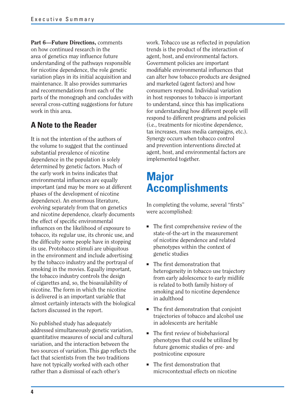**Part 6—Future Directions,** comments on how continued research in the area of genetics may influence future understanding of the pathways responsible for nicotine dependence, the role genetic variation plays in its initial acquisition and maintenance. It also provides summaries and recommendations from each of the parts of the monograph and concludes with several cross-cutting suggestions for future work in this area.

### **A Note to the Reader**

It is not the intention of the authors of the volume to suggest that the continued substantial prevalence of nicotine dependence in the population is solely determined by genetic factors. Much of the early work in twins indicates that environmental influences are equally important (and may be more so at different phases of the development of nicotine dependence). An enormous literature, evolving separately from that on genetics and nicotine dependence, clearly documents the effect of specific environmental influences on the likelihood of exposure to tobacco, its regular use, its chronic use, and the difficulty some people have in stopping its use. Protobacco stimuli are ubiquitous in the environment and include advertising by the tobacco industry and the portrayal of smoking in the movies. Equally important, the tobacco industry controls the design of cigarettes and, so, the bioavailability of nicotine. The form in which the nicotine is delivered is an important variable that almost certainly interacts with the biological factors discussed in the report.

No published study has adequately addressed simultaneously genetic variation, quantitative measures of social and cultural variation, and the interaction between the two sources of variation. This gap reflects the fact that scientists from the two traditions have not typically worked with each other rather than a dismissal of each other's

work. Tobacco use as reflected in population trends is the product of the interaction of agent, host, and environmental factors. Government policies are important modifiable environmental influences that can alter how tobacco products are designed and marketed (agent factors) and how consumers respond. Individual variation in host responses to tobacco is important to understand, since this has implications for understanding how different people will respond to different programs and policies (i.e., treatments for nicotine dependence, tax increases, mass media campaigns, etc.). Synergy occurs when tobacco control and prevention interventions directed at agent, host, and environmental factors are implemented together.

# **Major Accomplishments**

In completing the volume, several "firsts" were accomplished:

- The first comprehensive review of the state-of-the-art in the measurement of nicotine dependence and related phenotypes within the context of genetic studies
- The first demonstration that heterogeneity in tobacco use trajectory from early adolescence to early midlife is related to both family history of smoking and to nicotine dependence in adulthood
- The first demonstration that conjoint trajectories of tobacco and alcohol use in adolescents are heritable
- The first review of biobehavioral phenotypes that could be utilized by future genomic studies of pre- and postnicotine exposure
- The first demonstration that microcontextual effects on nicotine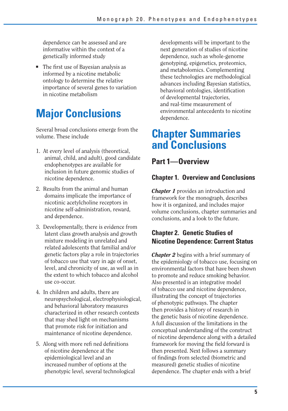dependence can be assessed and are informative within the context of a genetically informed study

■ The first use of Bayesian analysis as informed by a nicotine metabolic ontology to determine the relative importance of several genes to variation in nicotine metabolism

# **Major Conclusions**

Several broad conclusions emerge from the volume. These include

- 1. At every level of analysis (theoretical, animal, child, and adult), good candidate endophenotypes are available for inclusion in future genomic studies of nicotine dependence.
- 2. Results from the animal and human domains implicate the importance of nicotinic acetylcholine receptors in nicotine self-administration, reward, and dependence.
- 3. Developmentally, there is evidence from latent class growth analysis and growth mixture modeling in unrelated and related adolescents that familial and/or genetic factors play a role in trajectories of tobacco use that vary in age of onset, level, and chronicity of use, as well as in the extent to which tobacco and alcohol use co-occur.
- 4. In children and adults, there are neuropsychological, electrophysiological, and behavioral laboratory measures characterized in other research contexts that may shed light on mechanisms that promote risk for initiation and maintenance of nicotine dependence.
- 5. Along with more refi ned definitions of nicotine dependence at the epidemiological level and an increased number of options at the phenotypic level, several technological

developments will be important to the next generation of studies of nicotine dependence, such as whole-genome genotyping, epigenetics, proteomics, and metabolomics. Complementing these technologies are methodological advances including Bayesian statistics, behavioral ontologies, identification of developmental trajectories, and real-time measurement of environmental antecedents to nicotine dependence.

## **Chapter Summaries and Conclusions**

**Part 1—Overview** 

### **Chapter 1. Overview and Conclusions**

*Chapter 1* provides an introduction and framework for the monograph, describes how it is organized, and includes major volume conclusions, chapter summaries and conclusions, and a look to the future.

### **Chapter 2. Genetic Studies of Nicotine Dependence: Current Status**

*Chapter 2* begins with a brief summary of the epidemiology of tobacco use, focusing on environmental factors that have been shown to promote and reduce smoking behavior. Also presented is an integrative model of tobacco use and nicotine dependence, illustrating the concept of trajectories of phenotypic pathways. The chapter then provides a history of research in the genetic basis of nicotine dependence. A full discussion of the limitations in the conceptual understanding of the construct of nicotine dependence along with a detailed framework for moving the field forward is then presented. Next follows a summary of findings from selected (biometric and measured) genetic studies of nicotine dependence. The chapter ends with a brief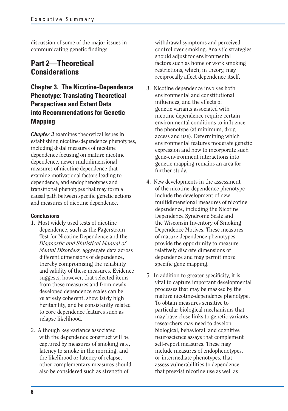discussion of some of the major issues in communicating genetic findings.

### **Part 2—Theoretical Considerations**

### **Chapter 3. The Nicotine-Dependence Phenotype: Translating Theoretical Perspectives and Extant Data into Recommendations for Genetic Mapping**

*Chapter 3* examines theoretical issues in establishing nicotine-dependence phenotypes, including distal measures of nicotine dependence focusing on mature nicotine dependence, newer multidimensional measures of nicotine dependence that examine motivational factors leading to dependence, and endophenotypes and transitional phenotypes that may form a causal path between specific genetic actions and measures of nicotine dependence.

### **Conclusions**

- 1. Most widely used tests of nicotine dependence, such as the Fagerström Test for Nicotine Dependence and the *Diagnostic and Statistical Manual of Mental Disorders,* aggregate data across different dimensions of dependence, thereby compromising the reliability and validity of these measures. Evidence suggests, however, that selected items from these measures and from newly developed dependence scales can be relatively coherent, show fairly high heritability, and be consistently related to core dependence features such as relapse likelihood.
- 2. Although key variance associated with the dependence construct will be captured by measures of smoking rate, latency to smoke in the morning, and the likelihood or latency of relapse, other complementary measures should also be considered such as strength of

withdrawal symptoms and perceived control over smoking. Analytic strategies should adjust for environmental factors such as home or work smoking restrictions, which, in theory, may reciprocally affect dependence itself.

- 3. Nicotine dependence involves both environmental and constitutional influences, and the effects of genetic variants associated with nicotine dependence require certain environmental conditions to influence the phenotype (at minimum, drug access and use). Determining which environmental features moderate genetic expression and how to incorporate such gene-environment interactions into genetic mapping remains an area for further study.
- 4. New developments in the assessment of the nicotine-dependence phenotype include the development of new multidimensional measures of nicotine dependence, including the Nicotine Dependence Syndrome Scale and the Wisconsin Inventory of Smoking Dependence Motives. These measures of mature dependence phenotypes provide the opportunity to measure relatively discrete dimensions of dependence and may permit more specific gene mapping.
- 5. In addition to greater specificity, it is vital to capture important developmental processes that may be masked by the mature nicotine-dependence phenotype. To obtain measures sensitive to particular biological mechanisms that may have close links to genetic variants, researchers may need to develop biological, behavioral, and cognitive neuroscience assays that complement self-report measures. These may include measures of endophenotypes, or intermediate phenotypes, that assess vulnerabilities to dependence that preexist nicotine use as well as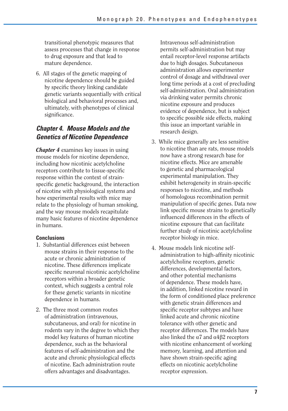transitional phenotypic measures that assess processes that change in response to drug exposure and that lead to mature dependence.

6. All stages of the genetic mapping of nicotine dependence should be guided by specific theory linking candidate genetic variants sequentially with critical biological and behavioral processes and, ultimately, with phenotypes of clinical significance.

### *Chapter 4. Mouse Models and the Genetics of Nicotine Dependence*

*Chapter 4* examines key issues in using mouse models for nicotine dependence, including how nicotinic acetylcholine receptors contribute to tissue-specific response within the context of strainspecific genetic background, the interaction of nicotine with physiological systems and how experimental results with mice may relate to the physiology of human smoking, and the way mouse models recapitulate many basic features of nicotine dependence in humans.

### **Conclusions**

- 1. Substantial differences exist between mouse strains in their response to the acute or chronic administration of nicotine. These differences implicate specific neuronal nicotinic acetylcholine receptors within a broader genetic context, which suggests a central role for these genetic variants in nicotine dependence in humans.
- 2. The three most common routes of administration (intravenous, subcutaneous, and oral) for nicotine in rodents vary in the degree to which they model key features of human nicotine dependence, such as the behavioral features of self-administration and the acute and chronic physiological effects of nicotine. Each administration route offers advantages and disadvantages.

Intravenous self-administration permits self-administration but may entail receptor-level response artifacts due to high dosages. Subcutaneous administration allows experimenter control of dosage and withdrawal over long time periods at a cost of precluding self-administration. Oral administration via drinking water permits chronic nicotine exposure and produces evidence of dependence, but is subject to specific possible side effects, making this issue an important variable in research design.

- 3. While mice generally are less sensitive to nicotine than are rats, mouse models now have a strong research base for nicotine effects. Mice are amenable to genetic and pharmacological experimental manipulation. They exhibit heterogeneity in strain-specific responses to nicotine, and methods of homologous recombination permit manipulation of specific genes. Data now link specific mouse strains to genetically influenced differences in the effects of nicotine exposure that can facilitate further study of nicotinic acetylcholine receptor biology in mice.
- 4. Mouse models link nicotine selfadministration to high-affinity nicotinic acetylcholine receptors, genetic differences, developmental factors, and other potential mechanisms of dependence. These models have, in addition, linked nicotine reward in the form of conditioned place preference with genetic strain differences and specific receptor subtypes and have linked acute and chronic nicotine tolerance with other genetic and receptor differences. The models have also linked the  $\alpha$ 7 and  $\alpha$ 4 $\beta$ 2 receptors with nicotine enhancement of working memory, learning, and attention and have shown strain-specific aging effects on nicotinic acetylcholine receptor expression.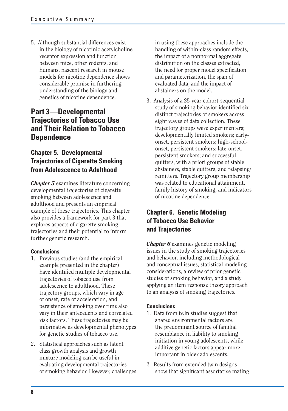5. Although substantial differences exist in the biology of nicotinic acetylcholine receptor expression and function between mice, other rodents, and humans, nascent research in mouse models for nicotine dependence shows considerable promise in furthering understanding of the biology and genetics of nicotine dependence.

### **Part 3—Developmental Trajectories of Tobacco Use and Their Relation to Tobacco Dependence**

### **Chapter 5. Developmental Trajectories of Cigarette Smoking from Adolescence to Adulthood**

*Chapter 5* examines literature concerning developmental trajectories of cigarette smoking between adolescence and adulthood and presents an empirical example of these trajectories. This chapter also provides a framework for part 3 that explores aspects of cigarette smoking trajectories and their potential to inform further genetic research.

### **Conclusions**

- 1. Previous studies (and the empirical example presented in the chapter) have identified multiple developmental trajectories of tobacco use from adolescence to adulthood. These trajectory groups, which vary in age of onset, rate of acceleration, and persistence of smoking over time also vary in their antecedents and correlated risk factors. These trajectories may be informative as developmental phenotypes for genetic studies of tobacco use.
- 2. Statistical approaches such as latent class growth analysis and growth mixture modeling can be useful in evaluating developmental trajectories of smoking behavior. However, challenges

in using these approaches include the handling of within-class random effects, the impact of a nonnormal aggregate distribution on the classes extracted, the need for proper model specification and parameterization, the span of evaluated data, and the impact of abstainers on the model.

3. Analysis of a 25-year cohort-sequential study of smoking behavior identified six distinct trajectories of smokers across eight waves of data collection. These trajectory groups were experimenters; developmentally limited smokers; earlyonset, persistent smokers; high-schoolonset, persistent smokers; late-onset, persistent smokers; and successful quitters, with a priori groups of stable abstainers, stable quitters, and relapsing/ remitters. Trajectory group membership was related to educational attainment, family history of smoking, and indicators of nicotine dependence.

### **Chapter 6. Genetic Modeling of Tobacco Use Behavior and Trajectories**

*Chapter 6* examines genetic modeling issues in the study of smoking trajectories and behavior, including methodological and conceptual issues, statistical modeling considerations, a review of prior genetic studies of smoking behavior, and a study applying an item response theory approach to an analysis of smoking trajectories.

- 1. Data from twin studies suggest that shared environmental factors are the predominant source of familial resemblance in liability to smoking initiation in young adolescents, while additive genetic factors appear more important in older adolescents.
- 2. Results from extended twin designs show that significant assortative mating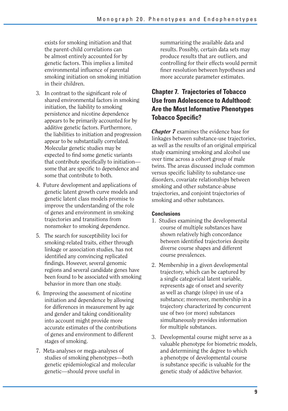exists for smoking initiation and that the parent-child correlations can be almost entirely accounted for by genetic factors. This implies a limited environmental influence of parental smoking initiation on smoking initiation in their children.

- 3. In contrast to the significant role of shared environmental factors in smoking initiation, the liability to smoking persistence and nicotine dependence appears to be primarily accounted for by additive genetic factors. Furthermore, the liabilities to initiation and progression appear to be substantially correlated. Molecular genetic studies may be expected to find some genetic variants that contribute specifically to initiation some that are specific to dependence and some that contribute to both.
- 4. Future development and applications of genetic latent growth curve models and genetic latent class models promise to improve the understanding of the role of genes and environment in smoking trajectories and transitions from nonsmoker to smoking dependence.
- 5. The search for susceptibility loci for smoking-related traits, either through linkage or association studies, has not identified any convincing replicated findings. However, several genomic regions and several candidate genes have been found to be associated with smoking behavior in more than one study.
- 6. Improving the assessment of nicotine initiation and dependence by allowing for differences in measurement by age and gender and taking conditionality into account might provide more accurate estimates of the contributions of genes and environment to different stages of smoking.
- 7. Meta-analyses or mega-analyses of studies of smoking phenotypes—both genetic epidemiological and molecular genetic—should prove useful in

summarizing the available data and results. Possibly, certain data sets may produce results that are outliers, and controlling for their effects would permit finer resolution between hypotheses and more accurate parameter estimates.

### **Chapter 7. Trajectories of Tobacco Use from Adolescence to Adulthood: Are the Most Informative Phenotypes Tobacco Specific?**

*Chapter 7* examines the evidence base for linkages between substance-use trajectories, as well as the results of an original empirical study examining smoking and alcohol use over time across a cohort group of male twins. The areas discussed include common versus specific liability to substance-use disorders, covariate relationships between smoking and other substance-abuse trajectories, and conjoint trajectories of smoking and other substances.

- 1. Studies examining the developmental course of multiple substances have shown relatively high concordance between identified trajectories despite diverse course shapes and different course prevalences.
- 2. Membership in a given developmental trajectory, which can be captured by a single categorical latent variable, represents age of onset and severity as well as change (slope) in use of a substance; moreover, membership in a trajectory characterized by concurrent use of two (or more) substances simultaneously provides information for multiple substances.
- 3. Developmental course might serve as a valuable phenotype for biometric models, and determining the degree to which a phenotype of developmental course is substance specific is valuable for the genetic study of addictive behavior.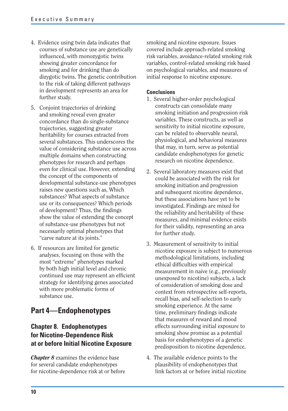- 4. Evidence using twin data indicates that courses of substance use are genetically influenced, with monozygotic twins showing greater concordance for smoking and for drinking than do dizygotic twins. The genetic contribution to the risk of taking different pathways in development represents an area for further study.
- 5. Conjoint trajectories of drinking and smoking reveal even greater concordance than do single-substance trajectories, suggesting greater heritability for courses extracted from several substances. This underscores the value of considering substance use across multiple domains when constructing phenotypes for research and perhaps even for clinical use. However, extending the concept of the components of developmental substance-use phenotypes raises new questions such as, Which substances? What aspects of substance use or its consequences? Which periods of development? Thus, the findings show the value of extending the concept of substance-use phenotypes but not necessarily optimal phenotypes that "carve nature at its joints."
- 6. If resources are limited for genetic analyses, focusing on those with the most "extreme" phenotypes marked by both high initial level and chronic continued use may represent an efficient strategy for identifying genes associated with more problematic forms of substance use.

### **Part 4—Endophenotypes**

### **Chapter 8. Endophenotypes for Nicotine-Dependence Risk at or before Initial Nicotine Exposure**

*Chapter 8* examines the evidence base for several candidate endophenotypes for nicotine-dependence risk at or before smoking and nicotine exposure. Issues covered include approach-related smoking risk variables, avoidance-related smoking risk variables, control-related smoking risk based on psychological variables, and measures of initial response to nicotine exposure.

- 1. Several higher-order psychological constructs can consolidate many smoking initiation and progression risk variables. These constructs, as well as sensitivity to initial nicotine exposure, can be related to observable neural, physiological, and behavioral measures that may, in turn, serve as potential candidate endophenotypes for genetic research on nicotine dependence.
- 2. Several laboratory measures exist that could be associated with the risk for smoking initiation and progression and subsequent nicotine dependence, but these associations have yet to be investigated. Findings are mixed for the reliability and heritability of these measures, and minimal evidence exists for their validity, representing an area for further study.
- 3. Measurement of sensitivity to initial nicotine exposure is subject to numerous methodological limitations, including ethical difficulties with empirical measurement in naive (e.g., previously unexposed to nicotine) subjects, a lack of consideration of smoking dose and context from retrospective self-reports, recall bias, and self-selection to early smoking experience. At the same time, preliminary findings indicate that measures of reward and mood effects surrounding initial exposure to smoking show promise as a potential basis for endophenotypes of a genetic predisposition to nicotine dependence.
- 4. The available evidence points to the plausibility of endophenotypes that link factors at or before initial nicotine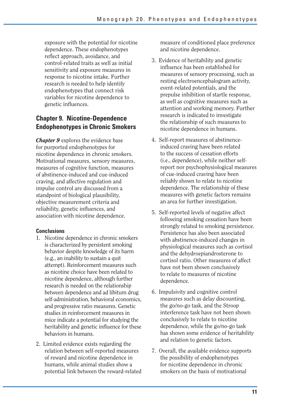exposure with the potential for nicotine dependence. These endophenotypes reflect approach, avoidance, and control-related traits as well as initial sensitivity and exposure measures in response to nicotine intake. Further research is needed to help identify endophenotypes that connect risk variables for nicotine dependence to genetic influences.

### **Chapter 9. Nicotine-Dependence Endophenotypes in Chronic Smokers**

*Chapter 9* explores the evidence base for purported endophenotypes for nicotine dependence in chronic smokers. Motivational measures, sensory measures, measures of cognitive function, measures of abstinence-induced and cue-induced craving, and affective regulation and impulse control are discussed from a standpoint of biological plausibility, objective measurement criteria and reliability, genetic influences, and association with nicotine dependence.

### **Conclusions**

- 1. Nicotine dependence in chronic smokers is characterized by persistent smoking behavior despite knowledge of its harm (e.g., an inability to sustain a quit attempt). Reinforcement measures such as nicotine choice have been related to nicotine dependence, although further research is needed on the relationship between dependence and ad libitum drug self-administration, behavioral economics, and progressive ratio measures. Genetic studies in reinforcement measures in mice indicate a potential for studying the heritability and genetic influence for these behaviors in humans.
- 2. Limited evidence exists regarding the relation between self-reported measures of reward and nicotine dependence in humans, while animal studies show a potential link between the reward-related

measure of conditioned place preference and nicotine dependence.

- 3. Evidence of heritability and genetic influence has been established for measures of sensory processing, such as resting electroencephalogram activity, event-related potentials, and the prepulse inhibition of startle response, as well as cognitive measures such as attention and working memory. Further research is indicated to investigate the relationship of such measures to nicotine dependence in humans.
- 4. Self-report measures of abstinenceinduced craving have been related to the success of cessation efforts (i.e., dependence), while neither selfreport nor psychophysiological measures of cue-induced craving have been reliably shown to relate to nicotine dependence. The relationship of these measures with genetic factors remains an area for further investigation.
- 5. Self-reported levels of negative affect following smoking cessation have been strongly related to smoking persistence. Persistence has also been associated with abstinence-induced changes in physiological measures such as cortisol and the dehydroepiandrosterone to cortisol ratio. Other measures of affect have not been shown conclusively to relate to measures of nicotine dependence.
- 6. Impulsivity and cognitive control measures such as delay discounting, the go/no-go task, and the Stroop interference task have not been shown conclusively to relate to nicotine dependence, while the go/no-go task has shown some evidence of heritability and relation to genetic factors.
- 7. Overall, the available evidence supports the possibility of endophenotypes for nicotine dependence in chronic smokers on the basis of motivational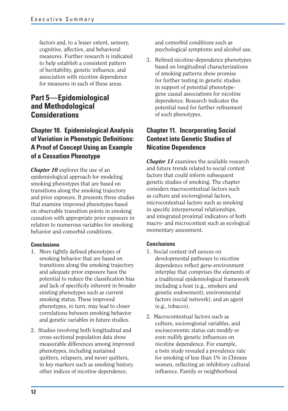factors and, to a lesser extent, sensory, cognitive, affective, and behavioral measures. Further research is indicated to help establish a consistent pattern of heritability, genetic influence, and association with nicotine dependence for measures in each of these areas.

### **Part 5—Epidemiological and Methodological Considerations**

### **Chapter 10. Epidemiological Analysis of Variation in Phenotypic Definitions: A Proof of Concept Using an Example of a Cessation Phenotype**

*Chapter 10* explores the use of an epidemiological approach for modeling smoking phenotypes that are based on transitions along the smoking trajectory and prior exposure. It presents three studies that examine improved phenotypes based on observable transition points in smoking cessation with appropriate prior exposure in relation to numerous variables for smoking behavior and comorbid conditions.

### **Conclusions**

- 1. More tightly defined phenotypes of smoking behavior that are based on transitions along the smoking trajectory and adequate prior exposure have the potential to reduce the classification bias and lack of specificity inherent in broader existing phenotypes such as current smoking status. These improved phenotypes, in turn, may lead to closer correlations between smoking behavior and genetic variables in future studies.
- 2. Studies involving both longitudinal and cross-sectional population data show measurable differences among improved phenotypes, including sustained quitters, relapsers, and never quitters, in key markers such as smoking history, other indices of nicotine dependence,

and comorbid conditions such as psychological symptoms and alcohol use.

3. Refined nicotine-dependence phenotypes based on longitudinal characterizations of smoking patterns show promise for further testing in genetic studies in support of potential phenotypegene causal associations for nicotine dependence. Research indicates the potential need for further refinement of such phenotypes.

### **Chapter 11. Incorporating Social Context into Genetic Studies of Nicotine Dependence**

*Chapter 11* examines the available research and future trends related to social context factors that could inform subsequent genetic studies of smoking. The chapter considers macrocontextual factors such as culture and socioregional factors, microcontextual factors such as smoking in specific interpersonal relationships, and integrated proximal indicators of both macro- and microcontext such as ecological momentary assessment.

- 1. Social context infl uences on developmental pathways to nicotine dependence reflect gene-environment interplay that comprises the elements of a traditional epidemiological framework including a host (e.g., smokers and genetic endowment), environmental factors (social network), and an agent (e.g., tobacco).
- 2. Macrocontextual factors such as culture, socioregional variables, and socioeconomic status can modify or even nullify genetic influences on nicotine dependence. For example, a twin study revealed a prevalence rate for smoking of less than 1% in Chinese women, reflecting an inhibitory cultural influence. Family or neighborhood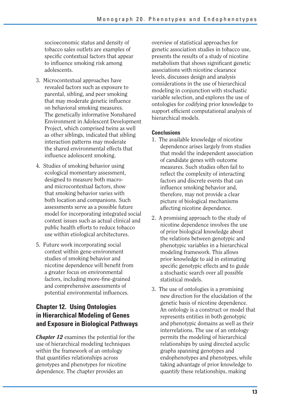socioeconomic status and density of tobacco sales outlets are examples of specific contextual factors that appear to influence smoking risk among adolescents.

- 3. Microcontextual approaches have revealed factors such as exposure to parental, sibling, and peer smoking that may moderate genetic influence on behavioral smoking measures. The genetically informative Nonshared Environment in Adolescent Development Project, which comprised twins as well as other siblings, indicated that sibling interaction patterns may moderate the shared environmental effects that influence adolescent smoking.
- 4. Studies of smoking behavior using ecological momentary assessment, designed to measure both macroand microcontextual factors, show that smoking behavior varies with both location and companions. Such assessments serve as a possible future model for incorporating integrated social context issues such as actual clinical and public health efforts to reduce tobacco use within etiological architectures.
- 5. Future work incorporating social context within gene-environment studies of smoking behavior and nicotine dependence will benefit from a greater focus on environmental factors, including more-fine-grained and comprehensive assessments of potential environmental influences.

### **Chapter 12. Using Ontologies in Hierarchical Modeling of Genes and Exposure in Biological Pathways**

*Chapter 12* examines the potential for the use of hierarchical modeling techniques within the framework of an ontology that quantifies relationships across genotypes and phenotypes for nicotine dependence. The chapter provides an

overview of statistical approaches for genetic association studies in tobacco use, presents the results of a study of nicotine metabolism that shows significant genetic associations with nicotine clearance levels, discusses design and analysis considerations in the use of hierarchical modeling in conjunction with stochastic variable selection, and explores the use of ontologies for codifying prior knowledge to support efficient computational analysis of hierarchical models.

- 1. The available knowledge of nicotine dependence arises largely from studies that model the independent association of candidate genes with outcome measures. Such studies often fail to reflect the complexity of interacting factors and discrete events that can influence smoking behavior and, therefore, may not provide a clear picture of biological mechanisms affecting nicotine dependence.
- 2. A promising approach to the study of nicotine dependence involves the use of prior biological knowledge about the relations between genotypic and phenotypic variables in a hierarchical modeling framework. This allows prior knowledge to aid in estimating specific genotypic effects and to guide a stochastic search over all possible statistical models.
- 3. The use of ontologies is a promising new direction for the elucidation of the genetic basis of nicotine dependence. An ontology is a construct or model that represents entities in both genotypic and phenotypic domains as well as their interrelations. The use of an ontology permits the modeling of hierarchical relationships by using directed acyclic graphs spanning genotypes and endophenotypes and phenotypes, while taking advantage of prior knowledge to quantify these relationships, making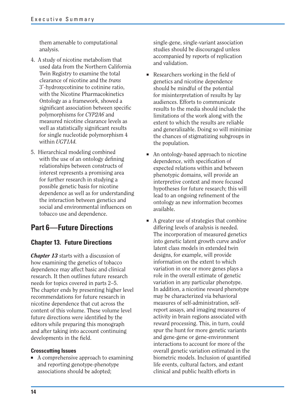them amenable to computational analysis.

- 4. A study of nicotine metabolism that used data from the Northern California Twin Registry to examine the total clearance of nicotine and the *trans*  3-hydroxycotinine to cotinine ratio, with the Nicotine Pharmacokinetics Ontology as a framework, showed a significant association between specific polymorphisms for *CYP2A6* and measured nicotine clearance levels as well as statistically significant results for single nucleotide polymorphism 4 within *UGT1A4.*
- 5. Hierarchical modeling combined with the use of an ontology defining relationships between constructs of interest represents a promising area for further research in studying a possible genetic basis for nicotine dependence as well as for understanding the interaction between genetics and social and environmental influences on tobacco use and dependence.

### **Part 6—Future Directions**

### **Chapter 13. Future Directions**

*Chapter 13* starts with a discussion of how examining the genetics of tobacco dependence may affect basic and clinical research. It then outlines future research needs for topics covered in parts 2–5. The chapter ends by presenting higher level recommendations for future research in nicotine dependence that cut across the content of this volume. These volume level future directions were identified by the editors while preparing this monograph and after taking into account continuing developments in the field.

### **Crosscutting Issues**

■ A comprehensive approach to examining and reporting genotype-phenotype associations should be adopted;

single-gene, single-variant association studies should be discouraged unless accompanied by reports of replication and validation.

- $\blacksquare$  Researchers working in the field of genetics and nicotine dependence should be mindful of the potential for misinterpretation of results by lay audiences. Efforts to communicate results to the media should include the limitations of the work along with the extent to which the results are reliable and generalizable. Doing so will minimize the chances of stigmatizing subgroups in the population.
- An ontology-based approach to nicotine dependence, with specification of expected relations within and between phenotypic domains, will provide an interpretive context and more focused hypotheses for future research; this will lead to an ongoing refinement of the ontology as new information becomes available.
- A greater use of strategies that combine differing levels of analysis is needed. The incorporation of measured genetics into genetic latent growth curve and/or latent class models in extended twin designs, for example, will provide information on the extent to which variation in one or more genes plays a role in the overall estimate of genetic variation in any particular phenotype. In addition, a nicotine reward phenotype may be characterized via behavioral measures of self-administration, selfreport assays, and imaging measures of activity in brain regions associated with reward processing. This, in turn, could spur the hunt for more genetic variants and gene-gene or gene-environment interactions to account for more of the overall genetic variation estimated in the biometric models. Inclusion of quantified life events, cultural factors, and extant clinical and public health efforts in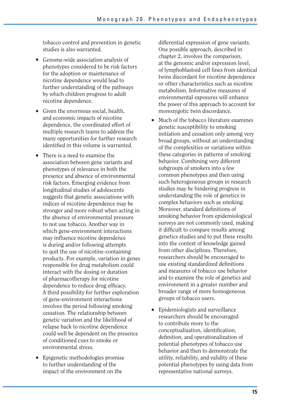tobacco control and prevention in genetic studies is also warranted.

- Genome-wide association analysis of phenotypes considered to be risk factors for the adoption or maintenance of nicotine dependence would lead to further understanding of the pathways by which children progress to adult nicotine dependence.
- Given the enormous social, health, and economic impacts of nicotine dependence, the coordinated effort of multiple research teams to address the many opportunities for further research identified in this volume is warranted.
- There is a need to examine the association between gene variants and phenotypes of relevance in both the presence and absence of environmental risk factors. Emerging evidence from longitudinal studies of adolescents suggests that genetic associations with indices of nicotine dependence may be stronger and more robust when acting in the absence of environmental pressure to not use tobacco. Another way in which gene-environment interactions may influence nicotine dependence is during and/or following attempts to quit the use of nicotine-containing products. For example, variation in genes responsible for drug metabolism could interact with the dosing or duration of pharmacotherapy for nicotine dependence to reduce drug efficacy. A third possibility for further exploration of gene-environment interactions involves the period following smoking cessation. The relationship between genetic variation and the likelihood of relapse back to nicotine dependence could well be dependent on the presence of conditioned cues to smoke or environmental stress.
- Epigenetic methodologies promise to further understanding of the impact of the environment on the

differential expression of gene variants. One possible approach, described in chapter 2, involves the comparison, at the genomic and/or expression level, of lymphoblastoid cell lines from identical twins discordant for nicotine dependence or other characteristics such as nicotine metabolism. Informative measures of environmental exposures will enhance the power of this approach to account for monozygotic twin discordance.

- Much of the tobacco literature examines genetic susceptibility to smoking initiation and cessation only among very broad groups, without an understanding of the complexities or variations within these categories in patterns of smoking behavior. Combining very different subgroups of smokers into a few common phenotypes and then using such heterogeneous groups in research studies may be hindering progress in understanding the role of genetics in complex behaviors such as smoking. Moreover, standard definitions of smoking behavior from epidemiological surveys are not commonly used, making it difficult to compare results among genetics studies and to put these results into the context of knowledge gained from other disciplines. Therefore, researchers should be encouraged to use existing standardized definitions and measures of tobacco use behavior and to examine the role of genetics and environment in a greater number and broader range of more homogeneous groups of tobacco users.
- Epidemiologists and surveillance researchers should be encouraged to contribute more to the conceptualization, identification, definition, and operationalization of potential phenotypes of tobacco use behavior and then to demonstrate the utility, reliability, and validity of these potential phenotypes by using data from representative national surveys.